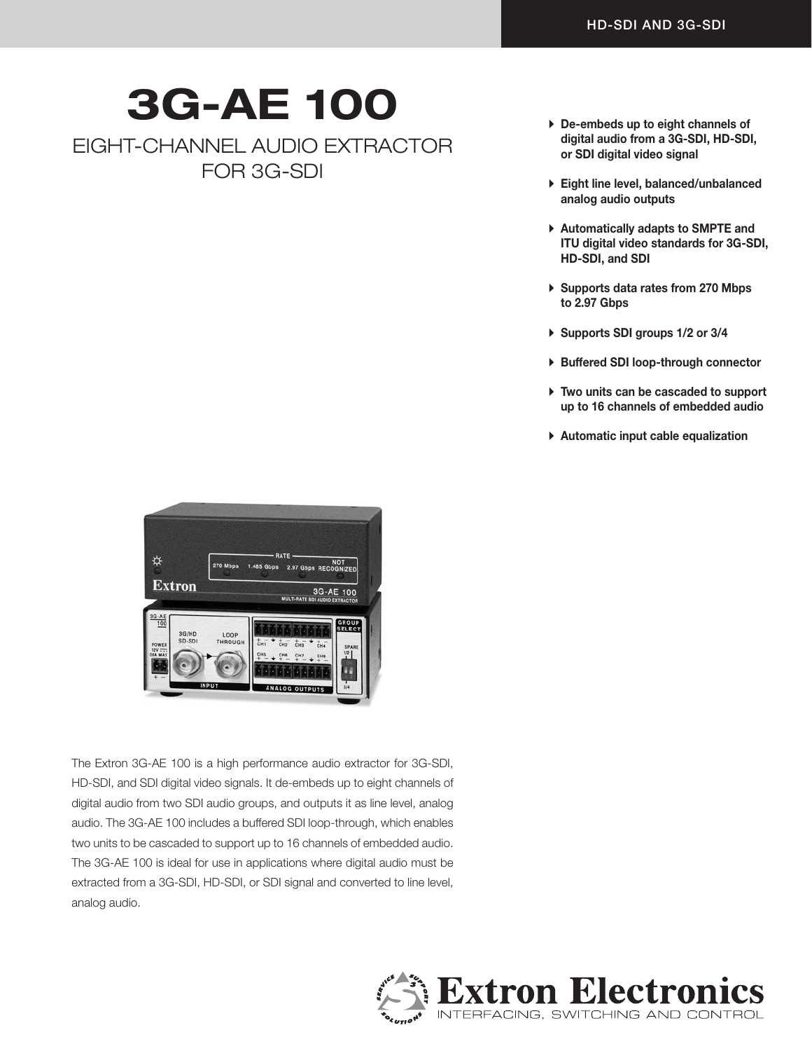## 3G-AE 100

EIGHT-CHANNEL AUDIO EXTRACTOR FOR 3G-SDI

- $\triangleright$  De-embeds up to eight channels of digital audio from a 3G-SDI, HD-SDI, or SDI digital video signal
- A Eight line level, balanced/unbalanced analog audio outputs
- ▶ Automatically adapts to SMPTE and ITU digital video standards for 3G-SDI, HD-SDI, and SDI
- ▶ Supports data rates from 270 Mbps to 2.97 Gbps
- A Supports SDI groups 1/2 or 3/4
- A Buffered SDI loop-through connector
- $\triangleright$  Two units can be cascaded to support up to 16 channels of embedded audio
- $\triangleright$  Automatic input cable equalization



The Extron 3G-AE 100 is a high performance audio extractor for 3G-SDI, HD-SDI, and SDI digital video signals. It de-embeds up to eight channels of digital audio from two SDI audio groups, and outputs it as line level, analog audio. The 3G-AE 100 includes a buffered SDI loop-through, which enables two units to be cascaded to support up to 16 channels of embedded audio. The 3G-AE 100 is ideal for use in applications where digital audio must be extracted from a 3G-SDI, HD-SDI, or SDI signal and converted to line level, analog audio.